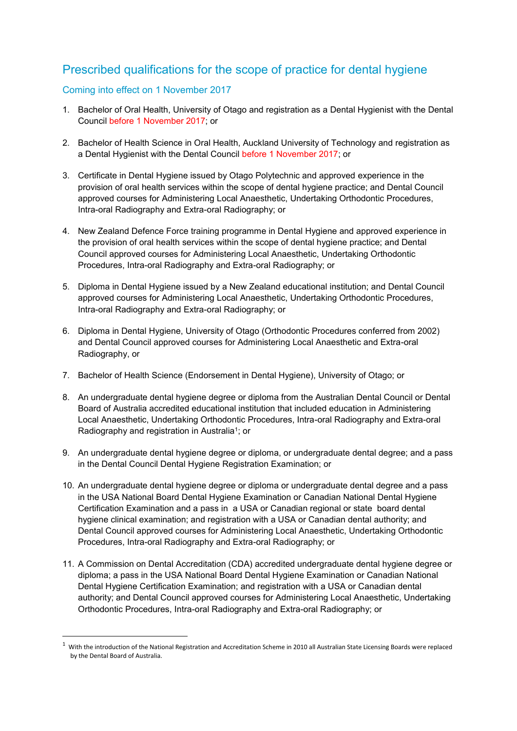# Prescribed qualifications for the scope of practice for dental hygiene

### Coming into effect on 1 November 2017

 $\overline{a}$ 

- 1. Bachelor of Oral Health, University of Otago and registration as a Dental Hygienist with the Dental Council before 1 November 2017; or
- 2. Bachelor of Health Science in Oral Health, Auckland University of Technology and registration as a Dental Hygienist with the Dental Council before 1 November 2017; or
- 3. Certificate in Dental Hygiene issued by Otago Polytechnic and approved experience in the provision of oral health services within the scope of dental hygiene practice; and Dental Council approved courses for Administering Local Anaesthetic, Undertaking Orthodontic Procedures, Intra-oral Radiography and Extra-oral Radiography; or
- 4. New Zealand Defence Force training programme in Dental Hygiene and approved experience in the provision of oral health services within the scope of dental hygiene practice; and Dental Council approved courses for Administering Local Anaesthetic, Undertaking Orthodontic Procedures, Intra-oral Radiography and Extra-oral Radiography; or
- 5. Diploma in Dental Hygiene issued by a New Zealand educational institution; and Dental Council approved courses for Administering Local Anaesthetic, Undertaking Orthodontic Procedures, Intra-oral Radiography and Extra-oral Radiography; or
- 6. Diploma in Dental Hygiene, University of Otago (Orthodontic Procedures conferred from 2002) and Dental Council approved courses for Administering Local Anaesthetic and Extra-oral Radiography, or
- 7. Bachelor of Health Science (Endorsement in Dental Hygiene), University of Otago; or
- 8. An undergraduate dental hygiene degree or diploma from the Australian Dental Council or Dental Board of Australia accredited educational institution that included education in Administering Local Anaesthetic, Undertaking Orthodontic Procedures, Intra-oral Radiography and Extra-oral Radiography and registration in Australia<sup>1</sup>; or
- 9. An undergraduate dental hygiene degree or diploma, or undergraduate dental degree; and a pass in the Dental Council Dental Hygiene Registration Examination; or
- 10. An undergraduate dental hygiene degree or diploma or undergraduate dental degree and a pass in the USA National Board Dental Hygiene Examination or Canadian National Dental Hygiene Certification Examination and a pass in a USA or Canadian regional or state board dental hygiene clinical examination; and registration with a USA or Canadian dental authority; and Dental Council approved courses for Administering Local Anaesthetic, Undertaking Orthodontic Procedures, Intra-oral Radiography and Extra-oral Radiography; or
- 11. A Commission on Dental Accreditation (CDA) accredited undergraduate dental hygiene degree or diploma; a pass in the USA National Board Dental Hygiene Examination or Canadian National Dental Hygiene Certification Examination; and registration with a USA or Canadian dental authority; and Dental Council approved courses for Administering Local Anaesthetic, Undertaking Orthodontic Procedures, Intra-oral Radiography and Extra-oral Radiography; or

 $1$  With the introduction of the National Registration and Accreditation Scheme in 2010 all Australian State Licensing Boards were replaced by the Dental Board of Australia.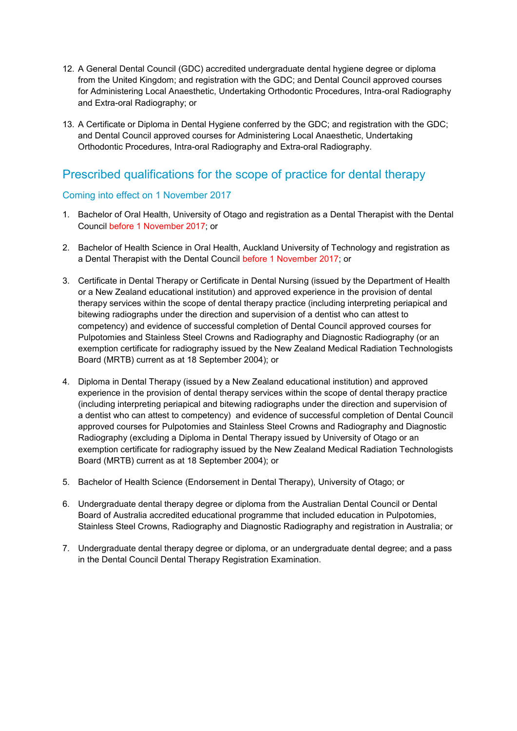- 12. A General Dental Council (GDC) accredited undergraduate dental hygiene degree or diploma from the United Kingdom; and registration with the GDC; and Dental Council approved courses for Administering Local Anaesthetic, Undertaking Orthodontic Procedures, Intra-oral Radiography and Extra-oral Radiography; or
- 13. A Certificate or Diploma in Dental Hygiene conferred by the GDC; and registration with the GDC; and Dental Council approved courses for Administering Local Anaesthetic, Undertaking Orthodontic Procedures, Intra-oral Radiography and Extra-oral Radiography.

### Prescribed qualifications for the scope of practice for dental therapy

#### Coming into effect on 1 November 2017

- 1. Bachelor of Oral Health, University of Otago and registration as a Dental Therapist with the Dental Council before 1 November 2017; or
- 2. Bachelor of Health Science in Oral Health, Auckland University of Technology and registration as a Dental Therapist with the Dental Council before 1 November 2017; or
- 3. Certificate in Dental Therapy or Certificate in Dental Nursing (issued by the Department of Health or a New Zealand educational institution) and approved experience in the provision of dental therapy services within the scope of dental therapy practice (including interpreting periapical and bitewing radiographs under the direction and supervision of a dentist who can attest to competency) and evidence of successful completion of Dental Council approved courses for Pulpotomies and Stainless Steel Crowns and Radiography and Diagnostic Radiography (or an exemption certificate for radiography issued by the New Zealand Medical Radiation Technologists Board (MRTB) current as at 18 September 2004); or
- 4. Diploma in Dental Therapy (issued by a New Zealand educational institution) and approved experience in the provision of dental therapy services within the scope of dental therapy practice (including interpreting periapical and bitewing radiographs under the direction and supervision of a dentist who can attest to competency) and evidence of successful completion of Dental Council approved courses for Pulpotomies and Stainless Steel Crowns and Radiography and Diagnostic Radiography (excluding a Diploma in Dental Therapy issued by University of Otago or an exemption certificate for radiography issued by the New Zealand Medical Radiation Technologists Board (MRTB) current as at 18 September 2004); or
- 5. Bachelor of Health Science (Endorsement in Dental Therapy), University of Otago; or
- 6. Undergraduate dental therapy degree or diploma from the Australian Dental Council or Dental Board of Australia accredited educational programme that included education in Pulpotomies, Stainless Steel Crowns, Radiography and Diagnostic Radiography and registration in Australia; or
- 7. Undergraduate dental therapy degree or diploma, or an undergraduate dental degree; and a pass in the Dental Council Dental Therapy Registration Examination.